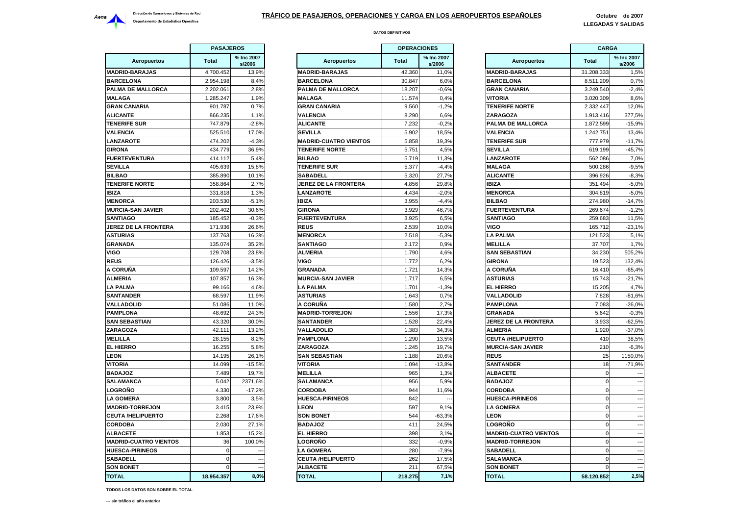## **DATOS DEFINITIVOS**

|                              | <b>PASAJEROS</b> |                      |                     |
|------------------------------|------------------|----------------------|---------------------|
| Aeropuertos                  | <b>Total</b>     | % Inc 2007<br>s/2006 | Ae                  |
| <b>MADRID-BARAJAS</b>        | 4.700.452        | 13,9%                | <b>MADRID-BAI</b>   |
| <b>BARCELONA</b>             | 2.954.198        | 8,4%                 | <b>BARCELONA</b>    |
| PALMA DE MALLORCA            | 2.202.061        | 2,8%                 | <b>PALMA DE N</b>   |
| <b>MALAGA</b>                | 1.285.247        | 1,9%                 | <b>MALAGA</b>       |
| <b>GRAN CANARIA</b>          | 901.787          | 0.7%                 | <b>GRAN CANA</b>    |
| <b>ALICANTE</b>              | 866.235          | 1,1%                 | VALENCIA            |
| <b>TENERIFE SUR</b>          | 747.879          | $-2,8%$              | <b>ALICANTE</b>     |
| VALENCIA                     | 525.510          | 17,0%                | <b>SEVILLA</b>      |
| <b>LANZAROTE</b>             | 474.202          | $-4,3%$              | <b>MADRID-CU</b>    |
| <b>GIRONA</b>                | 434.779          | 36,9%                | <b>TENERIFE N</b>   |
| <b>FUERTEVENTURA</b>         | 414.112          | 5,4%                 | <b>BILBAO</b>       |
| <b>SEVILLA</b>               | 405.639          | 15,8%                | <b>TENERIFE SI</b>  |
| <b>BILBAO</b>                | 385.890          | 10,1%                | <b>SABADELL</b>     |
| <b>TENERIFE NORTE</b>        | 358.864          | 2,7%                 | JEREZ DE L <i>i</i> |
| IBIZA                        | 331.818          | 1,3%                 | <b>LANZAROTE</b>    |
| <b>MENORCA</b>               | 203.530          | $-5.1%$              | <b>IBIZA</b>        |
| <b>MURCIA-SAN JAVIER</b>     | 202.402          | 30,6%                | <b>GIRONA</b>       |
| SANTIAGO                     | 185.452          | $-0.3%$              | <b>FUERTEVEN</b>    |
| <b>JEREZ DE LA FRONTERA</b>  | 171.936          | 26,6%                | <b>REUS</b>         |
| <b>ASTURIAS</b>              | 137.763          | 16,3%                | <b>MENORCA</b>      |
| <b>GRANADA</b>               | 135.074          | 35,2%                | <b>SANTIAGO</b>     |
| VIGO                         | 129.708          | 23,8%                | <b>ALMERIA</b>      |
| <b>REUS</b>                  | 126.426          | $-3,5%$              | VIGO                |
| A CORUÑA                     | 109.597          | 14.2%                | GRANADA             |
| ALMERIA                      | 107.857          | 16,3%                | <b>MURCIA-SAN</b>   |
| LA PALMA                     | 99.166           | 4,6%                 | LA PALMA            |
| <b>SANTANDER</b>             | 68.597           | 11,9%                | <b>ASTURIAS</b>     |
| VALLADOLID                   | 51.086           | 11,0%                | A CORUÑA            |
| <b>PAMPLONA</b>              | 48.692           | 24,3%                | <b>MADRID-TOI</b>   |
| <b>SAN SEBASTIAN</b>         | 43.320           | 30,0%                | <b>SANTANDER</b>    |
| ZARAGOZA                     | 42.111           | 13,2%                | VALLADOLII          |
| <b>MELILLA</b>               | 28.155           | 8,2%                 | <b>PAMPLONA</b>     |
| EL HIERRO                    | 16.255           | 5,8%                 | ZARAGOZA            |
| <b>LEON</b>                  | 14.195           | 26,1%                | SAN SEBAS           |
| VITORIA                      | 14.099           | $-15,5%$             | VITORIA             |
| <b>BADAJOZ</b>               | 7.489            | 19,7%                | <b>MELILLA</b>      |
| SALAMANCA                    | 5.042            | 2371,6%              | <b>SALAMANCA</b>    |
| LOGROÑO                      | 4.330            | $-17,2%$             | <b>CORDOBA</b>      |
| <b>LA GOMERA</b>             | 3.800            | 3,5%                 | <b>HUESCA-PIR</b>   |
| <b>MADRID-TORREJON</b>       | 3.415            | 23,9%                | <b>LEON</b>         |
| <b>CEUTA /HELIPUERTO</b>     | 2.268            | 17,6%                | <b>SON BONET</b>    |
| <b>CORDOBA</b>               | 2.030            | 27,1%                | <b>BADAJOZ</b>      |
| <b>ALBACETE</b>              | 1.853            | 15,2%                | EL HIERRO           |
| <b>MADRID-CUATRO VIENTOS</b> | 36               | 100,0%               | LOGROÑO             |
| <b>HUESCA-PIRINEOS</b>       | $\mathbf 0$      |                      | <b>LA GOMERA</b>    |
| SABADELL                     | 0                |                      | <b>CEUTA /HEL</b>   |
| <b>SON BONET</b>             | 0                |                      | <b>ALBACETE</b>     |
| <b>TOTAL</b>                 | 18.954.357       | 8,0%                 | <b>TOTAL</b>        |
|                              |                  |                      |                     |

|                            | <b>PASAJEROS</b> |                          |                              | <b>OPERACIONES</b> |                      |                              | <b>CARGA</b> |                          |
|----------------------------|------------------|--------------------------|------------------------------|--------------------|----------------------|------------------------------|--------------|--------------------------|
| <b>Aeropuertos</b>         | <b>Total</b>     | % Inc 2007<br>s/2006     | <b>Aeropuertos</b>           | <b>Total</b>       | % Inc 2007<br>s/2006 | <b>Aeropuertos</b>           | <b>Total</b> | % Inc 2007<br>s/2006     |
| <b>DRID-BARAJAS</b>        | 4.700.452        | 13,9%                    | <b>MADRID-BARAJAS</b>        | 42.360             | 11,0%                | <b>MADRID-BARAJAS</b>        | 31.208.333   | 1,5%                     |
| <b>RCELONA</b>             | 2.954.198        | 8,4%                     | <b>BARCELONA</b>             | 30.847             | 6,0%                 | <b>BARCELONA</b>             | 8.511.209    | 0,7%                     |
| <b>MA DE MALLORCA</b>      | 2.202.061        | 2,8%                     | PALMA DE MALLORCA            | 18.207             | $-0.6%$              | <b>GRAN CANARIA</b>          | 3.249.540    | $-2,4%$                  |
| LAGA                       | 1.285.247        | 1,9%                     | <b>MALAGA</b>                | 11.574             | 0,4%                 | <b>VITORIA</b>               | 3.020.309    | 8,6%                     |
| AN CANARIA                 | 901.787          | 0.7%                     | <b>GRAN CANARIA</b>          | 9.560              | $-1,2%$              | <b>TENERIFE NORTE</b>        | 2.332.447    | 12,0%                    |
| <b>CANTE</b>               | 866.235          | 1,1%                     | <b>VALENCIA</b>              | 8.290              | 6,6%                 | <b>ZARAGOZA</b>              | 1.913.416    | 377,5%                   |
| <b>IERIFE SUR</b>          | 747.879          | $-2.8%$                  | <b>ALICANTE</b>              | 7.232              | $-0.2%$              | <b>PALMA DE MALLORCA</b>     | 1.872.599    | $-15.9%$                 |
| <b>ENCIA</b>               | 525.510          | 17,0%                    | <b>SEVILLA</b>               | 5.902              | 18,5%                | <b>VALENCIA</b>              | 1.242.751    | 13,4%                    |
| <b>IZAROTE</b>             | 474.202          | $-4,3%$                  | <b>MADRID-CUATRO VIENTOS</b> | 5.858              | 19,3%                | <b>TENERIFE SUR</b>          | 777.979      | $-11,7%$                 |
| ONA                        | 434.779          | 36,9%                    | <b>TENERIFE NORTE</b>        | 5.751              | 4,5%                 | <b>SEVILLA</b>               | 619.199      | $-45,7%$                 |
| <b>ERTEVENTURA</b>         | 414.112          | 5,4%                     | <b>BILBAO</b>                | 5.719              | 11,3%                | <b>LANZAROTE</b>             | 562.086      | 7,0%                     |
| <b>IILLA</b>               | 405.639          | 15,8%                    | <b>TENERIFE SUR</b>          | 5.377              | $-4,4%$              | <b>MALAGA</b>                | 500.286      | $-9,5%$                  |
| BAO                        | 385.890          | 10,1%                    | <b>SABADELL</b>              | 5.320              | 27,7%                | <b>ALICANTE</b>              | 396.926      | $-8,3%$                  |
| <b>IERIFE NORTE</b>        | 358.864          | 2,7%                     | <b>JEREZ DE LA FRONTERA</b>  | 4.856              | 29,8%                | IBIZA                        | 351.494      | $-5,0%$                  |
| Ά                          | 331.818          | 1,3%                     | <b>LANZAROTE</b>             | 4.434              | $-2,0%$              | <b>MENORCA</b>               | 304.819      | $-5,0%$                  |
| <b>NORCA</b>               | 203.530          | $-5,1%$                  | <b>IBIZA</b>                 | 3.955              | $-4,4%$              | <b>BILBAO</b>                | 274.980      | $-14,7%$                 |
| <b>RCIA-SAN JAVIER</b>     | 202.402          | 30.6%                    | <b>GIRONA</b>                | 3.929              | 46.7%                | <b>FUERTEVENTURA</b>         | 269.674      | $-1,2%$                  |
| <b>ITIAGO</b>              | 185.452          | $-0.3%$                  | <b>FUERTEVENTURA</b>         | 3.925              | 6,5%                 | <b>SANTIAGO</b>              | 259.683      | 11,5%                    |
| <b>EZ DE LA FRONTERA!</b>  | 171.936          | 26,6%                    | <b>REUS</b>                  | 2.539              | 10,0%                | VIGO                         | 165.712      | $-23,1%$                 |
| <b>URIAS</b>               | 137.763          | 16,3%                    | <b>MENORCA</b>               | 2.518              | $-5,3%$              | <b>LA PALMA</b>              | 121.523      | 5,1%                     |
| ANADA                      | 135.074          | 35,2%                    | <b>SANTIAGO</b>              | 2.172              | 0,9%                 | <b>MELILLA</b>               | 37.707       | 1,7%                     |
| О                          | 129,708          | 23,8%                    | <b>ALMERIA</b>               | 1.790              | 4.6%                 | <b>SAN SEBASTIAN</b>         | 34.230       | 505,2%                   |
| JS                         | 126.426          | $-3,5%$                  | <b>VIGO</b>                  | 1.772              | 6,2%                 | <b>GIRONA</b>                | 19.523       | 132,4%                   |
| ORUÑA                      | 109.597          | 14,2%                    | <b>GRANADA</b>               | 1.721              | 14,3%                | A CORUÑA                     | 16.410       | $-65,4%$                 |
| <b>AERIA</b>               | 107.857          | 16,3%                    | <b>MURCIA-SAN JAVIER</b>     | 1.717              | 6,5%                 | <b>ASTURIAS</b>              | 15.743       | $-21,7%$                 |
| PALMA                      | 99.166           | 4,6%                     | <b>LA PALMA</b>              | 1.701              | $-1,3%$              | <b>EL HIERRO</b>             | 15.205       | 4,7%                     |
| <b>ITANDER</b>             | 68.597           | 11,9%                    | <b>ASTURIAS</b>              | 1.643              | 0,7%                 | VALLADOLID                   | 7.828        | $-81,6%$                 |
| <b>LADOLID</b>             | 51.086           | 11,0%                    | A CORUÑA                     | 1.580              | 2,7%                 | <b>PAMPLONA</b>              | 7.083        | $-26,0%$                 |
| <b>APLONA</b>              | 48.692           | 24,3%                    | <b>MADRID-TORREJON</b>       | 1.556              | 17,3%                | <b>GRANADA</b>               | 5.642        | $-0,3%$                  |
| <b><i>SEBASTIAN</i></b>    | 43.320           | 30.0%                    | <b>SANTANDER</b>             | 1.528              | 22.4%                | JEREZ DE LA FRONTERA         | 3.933        | $-62,5%$                 |
| <b>AGOZA</b>               | 42.111           | 13,2%                    | VALLADOLID                   | 1.383              | 34,3%                | ALMERIA                      | 1.920        | $-37,0%$                 |
| <b>ILLA</b>                | 28.155           | 8,2%                     | <b>PAMPLONA</b>              | 1.290              | 13,5%                | <b>CEUTA /HELIPUERTO</b>     | 410          | 38,5%                    |
| <b>HIERRO</b>              | 16.255           | 5,8%                     | <b>ZARAGOZA</b>              | 1.245              | 19,7%                | <b>MURCIA-SAN JAVIER</b>     | 210          | $-6,3%$                  |
| ЭN                         | 14.195           | 26,1%                    | <b>SAN SEBASTIAN</b>         | 1.188              | 20,6%                | <b>REUS</b>                  | 25           | 1150,0%                  |
| ORIA                       | 14.099           | $-15,5%$                 | <b>VITORIA</b>               | 1.094              | $-13,8%$             | <b>SANTANDER</b>             | 18           | $-71,9%$                 |
| <b>SOLAC</b>               | 7.489            | 19,7%                    | <b>MELILLA</b>               | 965                | 1,3%                 | <b>ALBACETE</b>              | $\Omega$     |                          |
| <b>AMANCA</b>              | 5.042            | 2371,6%                  | <b>SALAMANCA</b>             | 956                | 5,9%                 | <b>BADAJOZ</b>               | $\Omega$     |                          |
| <b>GROÑO</b>               | 4.330            | $-17,2%$                 | <b>CORDOBA</b>               | 944                | 11,6%                | <b>CORDOBA</b>               | $\Omega$     | $\overline{\phantom{a}}$ |
| <b>GOMERA</b>              | 3.800            | 3,5%                     | <b>HUESCA-PIRINEOS</b>       | 842                |                      | <b>HUESCA-PIRINEOS</b>       | $\mathbf 0$  |                          |
| <b>DRID-TORREJON</b>       | 3.415            | 23.9%                    | <b>LEON</b>                  | 597                | 9.1%                 | <b>LA GOMERA</b>             | $\Omega$     |                          |
| <b>JTA /HELIPUERTO</b>     | 2.268            | 17,6%                    | <b>SON BONET</b>             | 544                | $-63,3%$             | LEON                         | $\Omega$     |                          |
| <b>RDOBA</b>               | 2.030            | 27,1%                    | <b>BADAJOZ</b>               | 411                | 24.5%                | _OGROÑO                      | $\Omega$     |                          |
| <b>BACETE</b>              | 1.853            | 15,2%                    | <b>EL HIERRO</b>             | 398                | 3,1%                 | <b>MADRID-CUATRO VIENTOS</b> | $\Omega$     |                          |
| <b>DRID-CUATRO VIENTOS</b> | 36               | 100,0%                   | LOGROÑO                      | 332                | $-0.9%$              | <b>MADRID-TORREJON</b>       | $\mathbf 0$  |                          |
| <b>ESCA-PIRINEOS</b>       | $\Omega$         | $\overline{\phantom{a}}$ | <b>LA GOMERA</b>             | 280                | $-7,9%$              | <b>SABADELL</b>              | $\Omega$     | $\overline{\phantom{a}}$ |
| <b>BADELL</b>              | $\Omega$         | $\sim$                   | <b>CEUTA /HELIPUERTO</b>     | 262                | 17,5%                | SALAMANCA                    | $\sqrt{ }$   |                          |
| <b>N BONET</b>             | $\Omega$         | $\overline{\phantom{a}}$ | <b>ALBACETE</b>              | 211                | 67,5%                | <b>SON BONET</b>             | $\Omega$     | $\overline{\phantom{a}}$ |
| <b>TAL</b>                 | 18.954.357       | 8.0%                     | <b>TOTAL</b>                 | 218.275            | 7,1%                 | <b>TOTAL</b>                 | 58.120.852   | 2,5%                     |

|                      | <b>OPERACIONES</b><br>% Inc 2007<br><b>Total</b><br><b>Aeropuertos</b><br>s/2006 |          |                              | <b>CARGA</b>   |                      |  |
|----------------------|----------------------------------------------------------------------------------|----------|------------------------------|----------------|----------------------|--|
| Aeropuertos          |                                                                                  |          |                              | <b>Total</b>   | % Inc 2007<br>s/2006 |  |
| <b>ARAJAS</b>        | 42.360                                                                           | 11,0%    | <b>MADRID-BARAJAS</b>        | 31.208.333     | 1,5%                 |  |
| ۱NA                  | 30.847                                                                           | 6,0%     | <b>BARCELONA</b>             | 8.511.209      | 0,7%                 |  |
| E MALLORCA           | 18.207                                                                           | $-0,6%$  | <b>GRAN CANARIA</b>          | 3.249.540      | $-2,4%$              |  |
|                      | 11.574                                                                           | 0,4%     | VITORIA                      | 3.020.309      | 8,6%                 |  |
| NARIA                | 9.560                                                                            | $-1,2%$  | <b>TENERIFE NORTE</b>        | 2.332.447      | 12,0%                |  |
|                      | 8.290                                                                            | 6,6%     | <b>ZARAGOZA</b>              | 1.913.416      | 377,5%               |  |
|                      | 7.232                                                                            | $-0.2%$  | PALMA DE MALLORCA            | 1.872.599      | $-15,9%$             |  |
|                      | 5.902                                                                            | 18,5%    | <b>VALENCIA</b>              | 1.242.751      | 13,4%                |  |
| <b>UATRO VIENTOS</b> | 5.858                                                                            | 19,3%    | <b>TENERIFE SUR</b>          | 777.979        | $-11,7%$             |  |
| <b>NORTE</b>         | 5.751                                                                            | 4,5%     | <b>SEVILLA</b>               | 619.199        | $-45,7%$             |  |
|                      | 5.719                                                                            | 11,3%    | <b>LANZAROTE</b>             | 562.086        | 7,0%                 |  |
| <b>SUR</b>           | 5.377                                                                            | $-4,4%$  | <b>MALAGA</b>                | 500.286        | $-9,5%$              |  |
| L                    | 5.320                                                                            | 27,7%    | ALICANTE                     | 396.926        | $-8,3%$              |  |
| LA FRONTERA          | 4.856                                                                            | 29,8%    | <b>IBIZA</b>                 | 351.494        | $-5,0%$              |  |
| ΠE                   | 4.434                                                                            | $-2,0%$  | <b>MENORCA</b>               | 304.819        | $-5,0%$              |  |
|                      | 3.955                                                                            | $-4,4%$  | <b>BILBAO</b>                | 274.980        | $-14,7%$             |  |
|                      | 3.929                                                                            | 46,7%    | <b>FUERTEVENTURA</b>         | 269.674        | $-1,2%$              |  |
| <b>ENTURA</b>        | 3.925                                                                            | 6,5%     | <b>SANTIAGO</b>              | 259.683        | 11,5%                |  |
|                      | 2.539                                                                            | 10,0%    | VIGO                         | 165.712        | $-23,1%$             |  |
|                      | 2.518                                                                            | $-5,3%$  | LA PALMA                     | 121.523        | 5,1%                 |  |
| C                    | 2.172                                                                            | 0,9%     | <b>MELILLA</b>               | 37.707         | 1,7%                 |  |
|                      | 1.790                                                                            | 4,6%     | <b>SAN SEBASTIAN</b>         | 34.230         | 505,2%               |  |
|                      | 1.772                                                                            | 6,2%     | <b>GIRONA</b>                | 19.523         | 132,4%               |  |
|                      | 1.721                                                                            | 14,3%    | A CORUÑA                     | 16.410         | $-65,4%$             |  |
| <b>AN JAVIER</b>     | 1.717                                                                            | 6,5%     | <b>ASTURIAS</b>              | 15.743         | $-21,7%$             |  |
|                      | 1.701                                                                            | $-1,3%$  | <b>EL HIERRO</b>             | 15.205         | 4,7%                 |  |
|                      | 1.643                                                                            | 0,7%     | VALLADOLID                   | 7.828          | $-81,6%$             |  |
| A                    | 1.580                                                                            | 2,7%     | <b>PAMPLONA</b>              | 7.083          | $-26,0%$             |  |
| <b>ORREJON</b>       | 1.556                                                                            | 17,3%    | <b>GRANADA</b>               | 5.642          | $-0,3%$              |  |
| ΕR                   | 1.528                                                                            | 22,4%    | <b>JEREZ DE LA FRONTERA</b>  | 3.933          | $-62,5%$             |  |
| LID                  | 1.383                                                                            | 34,3%    | <b>ALMERIA</b>               | 1.920          | $-37,0%$             |  |
| IA                   | 1.290                                                                            | 13,5%    | <b>CEUTA /HELIPUERTO</b>     | 410            | 38,5%                |  |
| Ά                    | 1.245                                                                            | 19,7%    | <b>MURCIA-SAN JAVIER</b>     | 210            | $-6,3%$              |  |
| <b><i>STIAN</i></b>  | 1.188                                                                            | 20,6%    | <b>REUS</b>                  | 25             | 1150,0%              |  |
|                      | 1.094                                                                            | $-13,8%$ | <b>SANTANDER</b>             | 18             | $-71,9%$             |  |
|                      | 965                                                                              | 1,3%     | <b>ALBACETE</b>              | $\mathbf 0$    |                      |  |
| ICA                  | 956                                                                              | 5,9%     | <b>BADAJOZ</b>               | $\mathbf 0$    |                      |  |
|                      | 944                                                                              | 11,6%    | <b>CORDOBA</b>               | $\mathbf 0$    |                      |  |
| <b>PIRINEOS</b>      | 842                                                                              |          | <b>HUESCA-PIRINEOS</b>       | $\mathbf 0$    |                      |  |
|                      | 597                                                                              |          | <b>LA GOMERA</b>             | $\overline{0}$ |                      |  |
|                      |                                                                                  | 9,1%     |                              | $\mathbf 0$    |                      |  |
| EΤ                   | 544                                                                              | $-63,3%$ | LEON                         |                |                      |  |
|                      | 411                                                                              | 24,5%    | <b>LOGROÑO</b>               | $\mathbf 0$    |                      |  |
| ٥                    | 398                                                                              | 3,1%     | <b>MADRID-CUATRO VIENTOS</b> | $\mathbf 0$    |                      |  |
| J                    | 332                                                                              | $-0,9%$  | <b>MADRID-TORREJON</b>       | $\mathbf 0$    |                      |  |
| RА                   | 280                                                                              | $-7,9%$  | SABADELL                     | $\mathbf 0$    |                      |  |
| <b>ELIPUERTO</b>     | 262                                                                              | 17,5%    | SALAMANCA                    | $\mathbf 0$    |                      |  |
| E                    | 211                                                                              | 67,5%    | <b>SON BONET</b>             | 0              |                      |  |
|                      | 218.275                                                                          | 7,1%     | <b>TOTAL</b>                 | 58.120.852     | 2,5%                 |  |

**TODOS LOS DATOS SON SOBRE EL TOTAL**